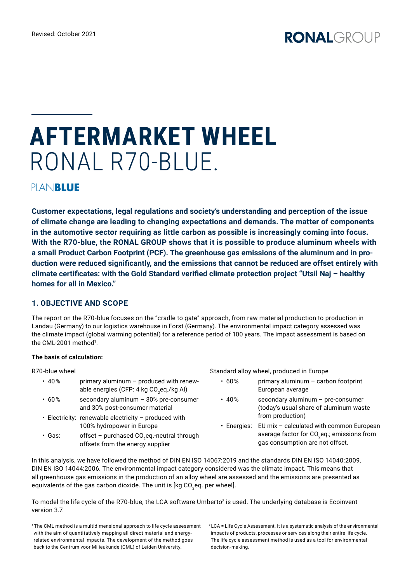# **AFTERMARKET WHEEL**  RONAL R70-BLUE.

PIANBLUE

**Customer expectations, legal regulations and society's understanding and perception of the issue of climate change are leading to changing expectations and demands. The matter of components in the automotive sector requiring as little carbon as possible is increasingly coming into focus. With the R70-blue, the RONAL GROUP shows that it is possible to produce aluminum wheels with a small Product Carbon Footprint (PCF). The greenhouse gas emissions of the aluminum and in production were reduced significantly, and the emissions that cannot be reduced are offset entirely with climate certificates: with the Gold Standard verified climate protection project "Utsil Naj – healthy homes for all in Mexico."**

## **1. OBJECTIVE AND SCOPE**

The report on the R70-blue focuses on the "cradle to gate" approach, from raw material production to production in Landau (Germany) to our logistics warehouse in Forst (Germany). The environmental impact category assessed was the climate impact (global warming potential) for a reference period of 100 years. The impact assessment is based on the CML-2001 method<sup>1</sup>.

#### **The basis of calculation:**

R70-blue wheel

| 70-blue wheel |                                                                                                | Standard alloy wheel, produced in Europe |                                                                                                                                                                                                                                                      |
|---------------|------------------------------------------------------------------------------------------------|------------------------------------------|------------------------------------------------------------------------------------------------------------------------------------------------------------------------------------------------------------------------------------------------------|
| $\cdot$ 40%   | primary aluminum - produced with renew-<br>able energies (CFP: 4 kg CO <sub>2</sub> eq./kg Al) | .60%                                     | primary aluminum - carbon footprint<br>European average                                                                                                                                                                                              |
| .60%          | secondary aluminum - 30% pre-consumer<br>and 30% post-consumer material                        | $\cdot$ 40%                              | secondary aluminum - pre-consumer<br>(today's usual share of aluminum waste<br>from production)<br>• Energies: EU mix - calculated with common European<br>average factor for CO <sub>2</sub> eq.; emissions from<br>gas consumption are not offset. |
|               | • Electricity: renewable electricity - produced with<br>100% hydropower in Europe              |                                          |                                                                                                                                                                                                                                                      |
| ∙ Gas:        | offset - purchased CO <sub>2</sub> eq -neutral through<br>offsets from the energy supplier     |                                          |                                                                                                                                                                                                                                                      |

In this analysis, we have followed the method of DIN EN ISO 14067:2019 and the standards DIN EN ISO 14040:2009, DIN EN ISO 14044:2006. The environmental impact category considered was the climate impact. This means that all greenhouse gas emissions in the production of an alloy wheel are assessed and the emissions are presented as equivalents of the gas carbon dioxide. The unit is [kg CO<sub>2</sub>eq. per wheel].

To model the life cycle of the R70-blue, the LCA software Umberto<sup>2</sup> is used. The underlying database is Ecoinvent version 3.7.

<sup>1</sup> The CML method is a multidimensional approach to life cycle assessment with the aim of quantitatively mapping all direct material and energyrelated environmental impacts. The development of the method goes back to the Centrum voor Milieukunde (CML) of Leiden University.

<sup>2</sup> LCA = Life Cycle Assessment. It is a systematic analysis of the environmental impacts of products, processes or services along their entire life cycle. The life cycle assessment method is used as a tool for environmental decision-making.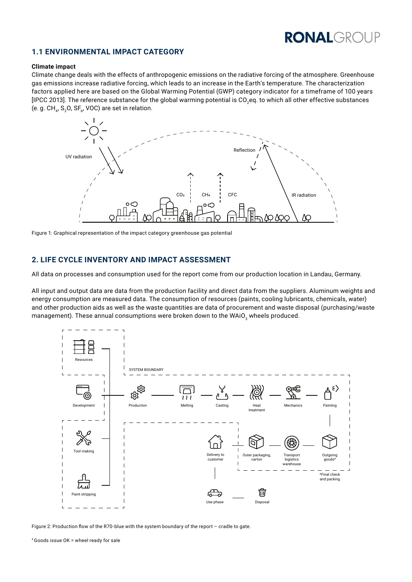# **RONALGROUP**

### **1.1 ENVIRONMENTAL IMPACT CATEGORY**

#### **Climate impact**

Climate change deals with the effects of anthropogenic emissions on the radiative forcing of the atmosphere. Greenhouse gas emissions increase radiative forcing, which leads to an increase in the Earth's temperature. The characterization factors applied here are based on the Global Warming Potential (GWP) category indicator for a timeframe of 100 years [IPCC 2013]. The reference substance for the global warming potential is CO<sub>2</sub>eq. to which all other effective substances (e. g.  $CH_{4}$ , S<sub>2</sub>O, SF<sub>6</sub>, VOC) are set in relation.



Figure 1: Graphical representation of the impact category greenhouse gas potential

#### **2. LIFE CYCLE INVENTORY AND IMPACT ASSESSMENT**

All data on processes and consumption used for the report come from our production location in Landau, Germany.

All input and output data are data from the production facility and direct data from the suppliers. Aluminum weights and energy consumption are measured data. The consumption of resources (paints, cooling lubricants, chemicals, water) and other production aids as well as the waste quantities are data of procurement and waste disposal (purchasing/waste management). These annual consumptions were broken down to the WAiO<sub>3</sub> wheels produced.



Figure 2: Production flow of the R70-blue with the system boundary of the report – cradle to gate.

<sup>3</sup>Goods issue OK = wheel ready for sale